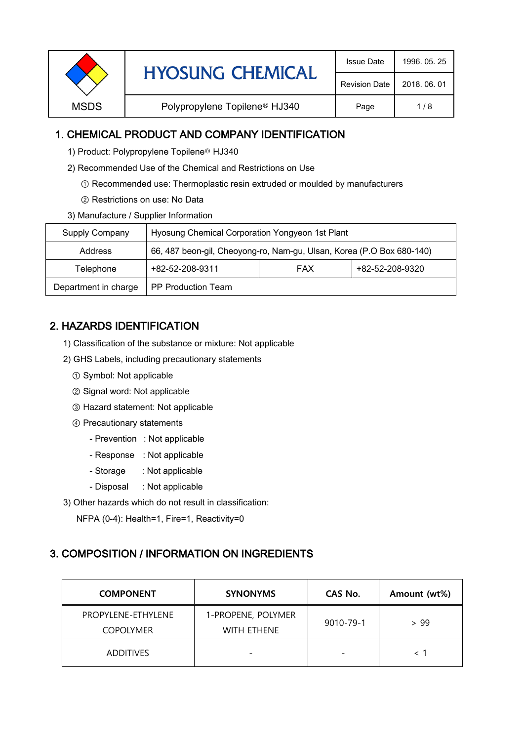| <b>HYOSUNG CHEMICAL</b> | <b>Issue Date</b>                         | 1996, 05, 25         |              |
|-------------------------|-------------------------------------------|----------------------|--------------|
|                         |                                           | <b>Revision Date</b> | 2018, 06, 01 |
| <b>MSDS</b>             | Polypropylene Topilene <sup>®</sup> HJ340 | Page                 | 1/8          |
|                         |                                           |                      |              |

## 1. CHEMICAL PRODUCT AND COMPANY IDENTIFICATION

- 1) Product: Polypropylene Topilene<sup>®</sup> HJ340
- 2) Recommended Use of the Chemical and Restrictions on Use
	- ① Recommended use: Thermoplastic resin extruded or moulded by manufacturers
	- ② Restrictions on use: No Data
- 3) Manufacture / Supplier Information

| Supply Company       | Hyosung Chemical Corporation Yongyeon 1st Plant                       |  |  |  |
|----------------------|-----------------------------------------------------------------------|--|--|--|
| Address              | 66, 487 beon-gil, Cheoyong-ro, Nam-gu, Ulsan, Korea (P.O Box 680-140) |  |  |  |
| Telephone            | +82-52-208-9311<br>+82-52-208-9320<br><b>FAX</b>                      |  |  |  |
| Department in charge | <b>PP Production Team</b>                                             |  |  |  |

# 2. HAZARDS IDENTIFICATION

- 1) Classification of the substance or mixture: Not applicable
- 2) GHS Labels, including precautionary statements
	- ① Symbol: Not applicable
	- ② Signal word: Not applicable
	- ③ Hazard statement: Not applicable
	- ④ Precautionary statements
		- Prevention : Not applicable
		- Response : Not applicable
		- Storage : Not applicable
		- Disposal : Not applicable
- 3) Other hazards which do not result in classification:

NFPA (0-4): Health=1, Fire=1, Reactivity=0

### 3. COMPOSITION / INFORMATION ON INGREDIENTS

| <b>COMPONENT</b>                       | <b>SYNONYMS</b>                   | CAS No.   | Amount (wt%) |
|----------------------------------------|-----------------------------------|-----------|--------------|
| PROPYLENE-ETHYLENE<br><b>COPOLYMER</b> | 1-PROPENE, POLYMER<br>WITH ETHENE | 9010-79-1 | > 99         |
| <b>ADDITIVES</b>                       |                                   |           |              |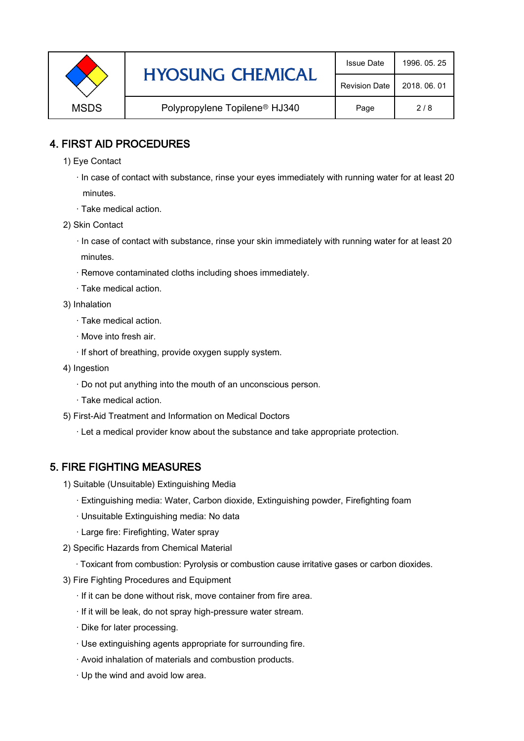|             | <b>HYOSUNG CHEMICAL</b>                   | <b>Issue Date</b>    | 1996, 05, 25 |
|-------------|-------------------------------------------|----------------------|--------------|
|             |                                           | <b>Revision Date</b> | 2018, 06, 01 |
| <b>MSDS</b> | Polypropylene Topilene <sup>®</sup> HJ340 | Page                 | 2/8          |

## 4. FIRST AID PROCEDURES

1) Eye Contact

 · In case of contact with substance, rinse your eyes immediately with running water for at least 20 minutes.

- · Take medical action.
- 2) Skin Contact
	- · In case of contact with substance, rinse your skin immediately with running water for at least 20 minutes.
	- · Remove contaminated cloths including shoes immediately.
	- · Take medical action.
- 3) Inhalation
	- · Take medical action.
	- · Move into fresh air.
	- · If short of breathing, provide oxygen supply system.
- 4) Ingestion
	- · Do not put anything into the mouth of an unconscious person.
	- · Take medical action.
- 5) First-Aid Treatment and Information on Medical Doctors
	- · Let a medical provider know about the substance and take appropriate protection.

### 5. FIRE FIGHTING MEASURES

- 1) Suitable (Unsuitable) Extinguishing Media
	- · Extinguishing media: Water, Carbon dioxide, Extinguishing powder, Firefighting foam
	- · Unsuitable Extinguishing media: No data
	- · Large fire: Firefighting, Water spray
- 2) Specific Hazards from Chemical Material
	- · Toxicant from combustion: Pyrolysis or combustion cause irritative gases or carbon dioxides.
- 3) Fire Fighting Procedures and Equipment
	- · If it can be done without risk, move container from fire area.
	- · If it will be leak, do not spray high-pressure water stream.
	- · Dike for later processing.
	- · Use extinguishing agents appropriate for surrounding fire.
	- · Avoid inhalation of materials and combustion products.
	- · Up the wind and avoid low area.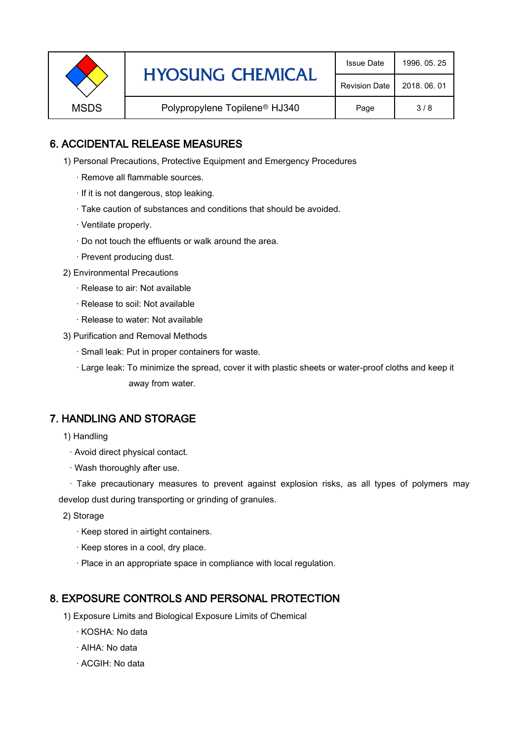| <b>HYOSUNG CHEMICAL</b>                                  | <b>Issue Date</b> | 1996, 05, 25         |              |
|----------------------------------------------------------|-------------------|----------------------|--------------|
|                                                          |                   | <b>Revision Date</b> | 2018, 06, 01 |
| <b>MSDS</b><br>Polypropylene Topilene <sup>®</sup> HJ340 |                   | Page                 | 3/8          |

## 6. ACCIDENTAL RELEASE MEASURES

- 1) Personal Precautions, Protective Equipment and Emergency Procedures
	- · Remove all flammable sources.
	- · If it is not dangerous, stop leaking.
	- · Take caution of substances and conditions that should be avoided.
	- · Ventilate properly.
	- · Do not touch the effluents or walk around the area.
	- · Prevent producing dust.
- 2) Environmental Precautions
	- · Release to air: Not available
	- · Release to soil: Not available
	- · Release to water: Not available
- 3) Purification and Removal Methods
	- · Small leak: Put in proper containers for waste.
	- ,· Large leak: To minimize the spread, cover it with plastic sheets or water-proof cloths and keep it away from water.

### 7. HANDLING AND STORAGE

- 1) Handling
	- · Avoid direct physical contact.
	- · Wash thoroughly after use.

· Take precautionary measures to prevent against explosion risks, as all types of polymers may develop dust during transporting or grinding of granules.

- 2) Storage
	- · Keep stored in airtight containers.
	- · Keep stores in a cool, dry place.
	- · Place in an appropriate space in compliance with local regulation.

### 8. EXPOSURE CONTROLS AND PERSONAL PROTECTION

- 1) Exposure Limits and Biological Exposure Limits of Chemical
	- · KOSHA: No data
	- · AIHA: No data
	- · ACGIH: No data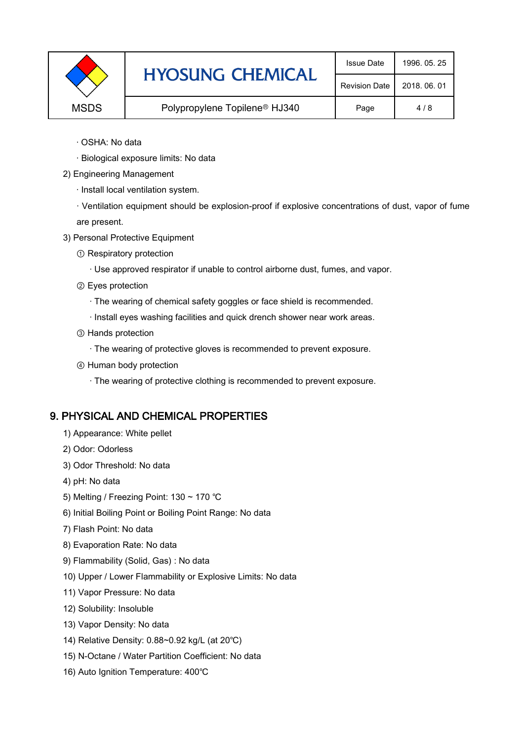|             | <b>HYOSUNG CHEMICAL</b>                   | <b>Issue Date</b>    | 1996, 05, 25 |
|-------------|-------------------------------------------|----------------------|--------------|
|             |                                           | <b>Revision Date</b> | 2018, 06, 01 |
| <b>MSDS</b> | Polypropylene Topilene <sup>®</sup> HJ340 | Page                 | 4/8          |

- · OSHA: No data
- · Biological exposure limits: No data
- 2) Engineering Management
	- · Install local ventilation system.

· Ventilation equipment should be explosion-proof if explosive concentrations of dust, vapor of fume are present.

- 3) Personal Protective Equipment
	- ① Respiratory protection
		- · Use approved respirator if unable to control airborne dust, fumes, and vapor.
	- ② Eyes protection
		- · The wearing of chemical safety goggles or face shield is recommended.
		- · Install eyes washing facilities and quick drench shower near work areas.
	- ③ Hands protection
		- · The wearing of protective gloves is recommended to prevent exposure.
	- ④ Human body protection
		- · The wearing of protective clothing is recommended to prevent exposure.

#### 9. PHYSICAL AND CHEMICAL PROPERTIES

- 1) Appearance: White pellet
- 2) Odor: Odorless
- 3) Odor Threshold: No data
- 4) pH: No data
- 5) Melting / Freezing Point: 130 ~ 170 ℃
- 6) Initial Boiling Point or Boiling Point Range: No data
- 7) Flash Point: No data
- 8) Evaporation Rate: No data
- 9) Flammability (Solid, Gas) : No data
- 10) Upper / Lower Flammability or Explosive Limits: No data
- 11) Vapor Pressure: No data
- 12) Solubility: Insoluble
- 13) Vapor Density: No data
- 14) Relative Density: 0.88~0.92 kg/L (at 20℃)
- 15) N-Octane / Water Partition Coefficient: No data
- 16) Auto Ignition Temperature: 400℃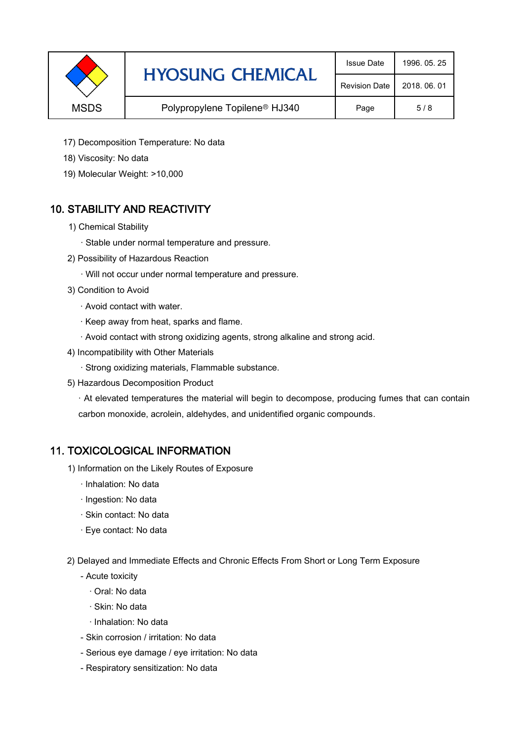|             | <b>HYOSUNG CHEMICAL</b>                   | <b>Issue Date</b>    | 1996, 05, 25 |
|-------------|-------------------------------------------|----------------------|--------------|
|             |                                           | <b>Revision Date</b> | 2018, 06, 01 |
| <b>MSDS</b> | Polypropylene Topilene <sup>®</sup> HJ340 | Page                 | 5/8          |

- 17) Decomposition Temperature: No data
- 18) Viscosity: No data
- 19) Molecular Weight: >10,000

# 10. STABILITY AND REACTIVITY

- 1) Chemical Stability
	- · Stable under normal temperature and pressure.
- 2) Possibility of Hazardous Reaction
	- · Will not occur under normal temperature and pressure.
- 3) Condition to Avoid
	- · Avoid contact with water.
	- · Keep away from heat, sparks and flame.
	- · Avoid contact with strong oxidizing agents, strong alkaline and strong acid.
- 4) Incompatibility with Other Materials
	- · Strong oxidizing materials, Flammable substance.
- 5) Hazardous Decomposition Product

· At elevated temperatures the material will begin to decompose, producing fumes that can contain carbon monoxide, acrolein, aldehydes, and unidentified organic compounds.

### 11. TOXICOLOGICAL INFORMATION

- 1) Information on the Likely Routes of Exposure
	- · Inhalation: No data
	- · Ingestion: No data
	- · Skin contact: No data
	- · Eye contact: No data
- 2) Delayed and Immediate Effects and Chronic Effects From Short or Long Term Exposure
	- Acute toxicity
		- · Oral: No data
		- · Skin: No data
		- · Inhalation: No data
	- Skin corrosion / irritation: No data
	- Serious eye damage / eye irritation: No data
	- Respiratory sensitization: No data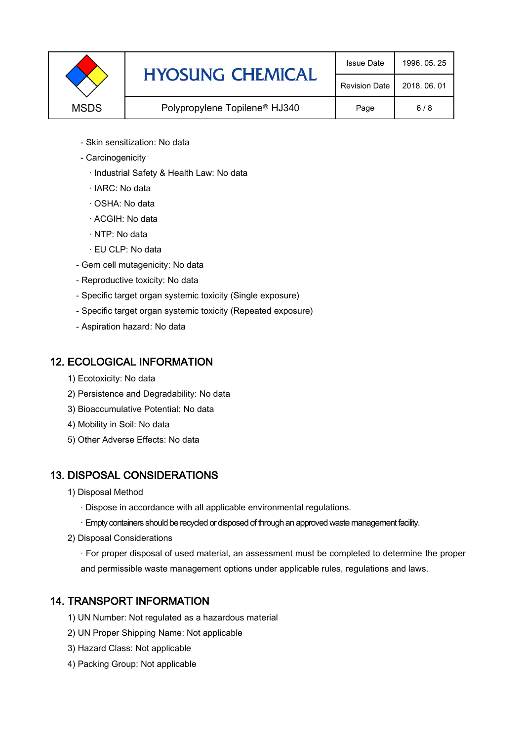|             | <b>HYOSUNG CHEMICAL</b>                   | <b>Issue Date</b>    | 1996, 05, 25 |
|-------------|-------------------------------------------|----------------------|--------------|
|             |                                           | <b>Revision Date</b> | 2018, 06, 01 |
| <b>MSDS</b> | Polypropylene Topilene <sup>®</sup> HJ340 | Page                 | 6/8          |

- Skin sensitization: No data
- Carcinogenicity
	- · Industrial Safety & Health Law: No data
	- · IARC: No data
	- · OSHA: No data
	- · ACGIH: No data
	- · NTP: No data
	- · EU CLP: No data
- Gem cell mutagenicity: No data
- Reproductive toxicity: No data
- Specific target organ systemic toxicity (Single exposure)
- Specific target organ systemic toxicity (Repeated exposure)
- Aspiration hazard: No data

### 12. ECOLOGICAL INFORMATION

- 1) Ecotoxicity: No data
- 2) Persistence and Degradability: No data
- 3) Bioaccumulative Potential: No data
- 4) Mobility in Soil: No data
- 5) Other Adverse Effects: No data

# 13. DISPOSAL CONSIDERATIONS

- 1) Disposal Method
	- · Dispose in accordance with all applicable environmental regulations.
	- · Empty containers should be recycled or disposed of through an approved waste management facility.
- 2) Disposal Considerations
	- · For proper disposal of used material, an assessment must be completed to determine the proper and permissible waste management options under applicable rules, regulations and laws.

# 14. TRANSPORT INFORMATION

- 1) UN Number: Not regulated as a hazardous material
- 2) UN Proper Shipping Name: Not applicable
- 3) Hazard Class: Not applicable
- 4) Packing Group: Not applicable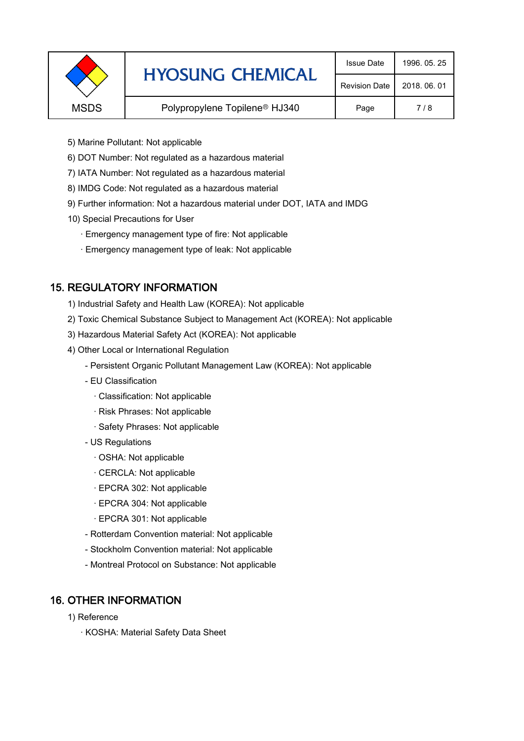|             | <b>HYOSUNG CHEMICAL</b>                   | <b>Issue Date</b> | 1996, 05, 25 |
|-------------|-------------------------------------------|-------------------|--------------|
|             | <b>Revision Date</b>                      | 2018, 06, 01      |              |
| <b>MSDS</b> | Polypropylene Topilene <sup>®</sup> HJ340 | Page              | 7/8          |
|             |                                           |                   |              |

- 5) Marine Pollutant: Not applicable
- 6) DOT Number: Not regulated as a hazardous material
- 7) IATA Number: Not regulated as a hazardous material
- 8) IMDG Code: Not regulated as a hazardous material
- 9) Further information: Not a hazardous material under DOT, IATA and IMDG
- 10) Special Precautions for User
	- · Emergency management type of fire: Not applicable
	- · Emergency management type of leak: Not applicable

# 15. REGULATORY INFORMATION

- 1) Industrial Safety and Health Law (KOREA): Not applicable
- 2) Toxic Chemical Substance Subject to Management Act (KOREA): Not applicable
- 3) Hazardous Material Safety Act (KOREA): Not applicable
- 4) Other Local or International Regulation
	- Persistent Organic Pollutant Management Law (KOREA): Not applicable
	- EU Classification
		- · Classification: Not applicable
		- · Risk Phrases: Not applicable
		- · Safety Phrases: Not applicable
	- US Regulations
		- · OSHA: Not applicable
		- · CERCLA: Not applicable
		- · EPCRA 302: Not applicable
		- · EPCRA 304: Not applicable
		- · EPCRA 301: Not applicable
	- Rotterdam Convention material: Not applicable
	- Stockholm Convention material: Not applicable
	- Montreal Protocol on Substance: Not applicable

# 16. OTHER INFORMATION

- 1) Reference
	- · KOSHA: Material Safety Data Sheet